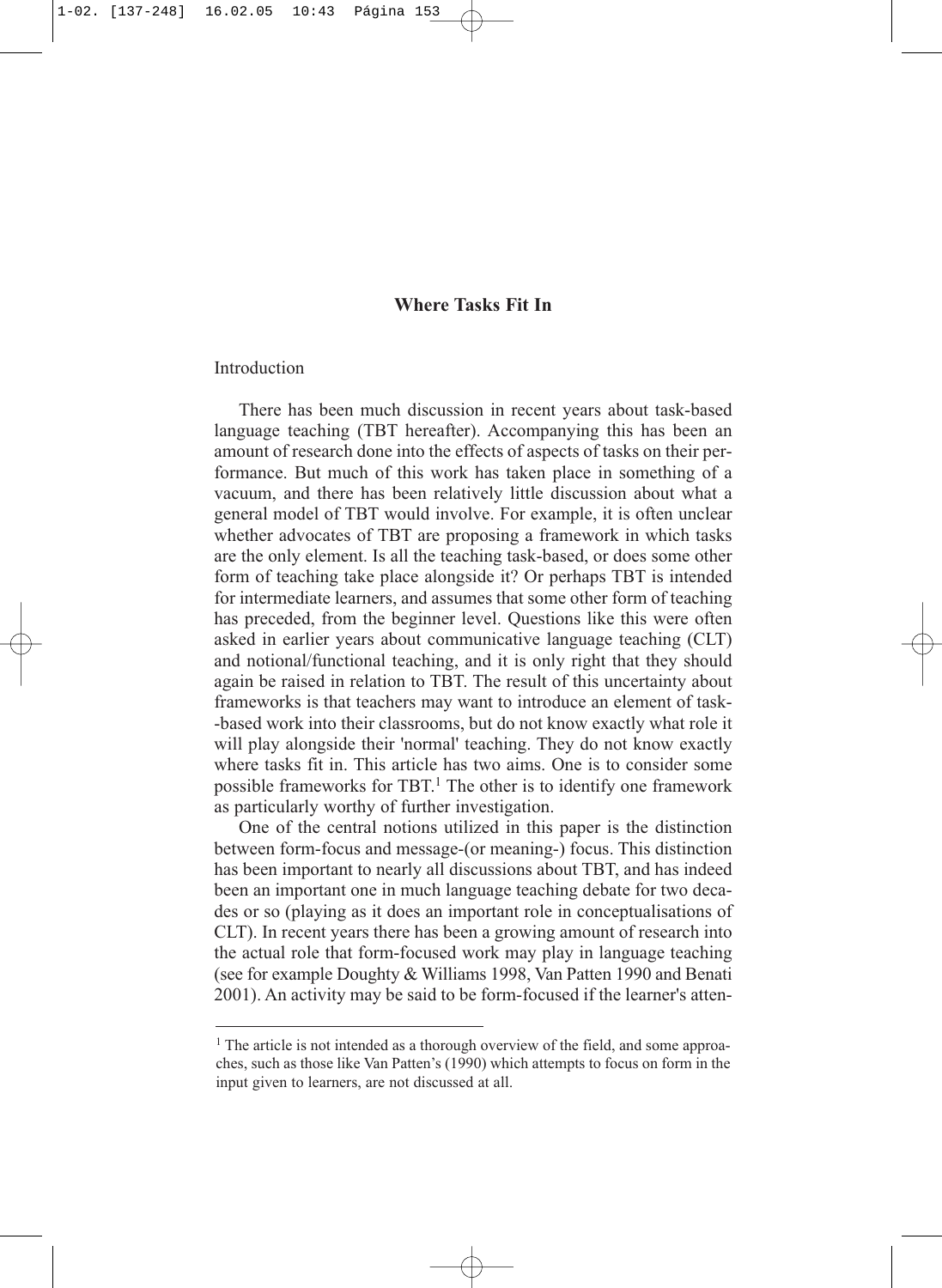# **Where Tasks Fit In**

# Introduction

There has been much discussion in recent years about task-based language teaching (TBT hereafter). Accompanying this has been an amount of research done into the effects of aspects of tasks on their performance. But much of this work has taken place in something of a vacuum, and there has been relatively little discussion about what a general model of TBT would involve. For example, it is often unclear whether advocates of TBT are proposing a framework in which tasks are the only element. Is all the teaching task-based, or does some other form of teaching take place alongside it? Or perhaps TBT is intended for intermediate learners, and assumes that some other form of teaching has preceded, from the beginner level. Questions like this were often asked in earlier years about communicative language teaching (CLT) and notional/functional teaching, and it is only right that they should again be raised in relation to TBT. The result of this uncertainty about frameworks is that teachers may want to introduce an element of task- -based work into their classrooms, but do not know exactly what role it will play alongside their 'normal' teaching. They do not know exactly where tasks fit in. This article has two aims. One is to consider some possible frameworks for TBT.1 The other is to identify one framework as particularly worthy of further investigation.

One of the central notions utilized in this paper is the distinction between form-focus and message-(or meaning-) focus. This distinction has been important to nearly all discussions about TBT, and has indeed been an important one in much language teaching debate for two decades or so (playing as it does an important role in conceptualisations of CLT). In recent years there has been a growing amount of research into the actual role that form-focused work may play in language teaching (see for example Doughty & Williams 1998, Van Patten 1990 and Benati 2001). An activity may be said to be form-focused if the learner's atten-

<sup>&</sup>lt;sup>1</sup> The article is not intended as a thorough overview of the field, and some approaches, such as those like Van Patten's (1990) which attempts to focus on form in the input given to learners, are not discussed at all.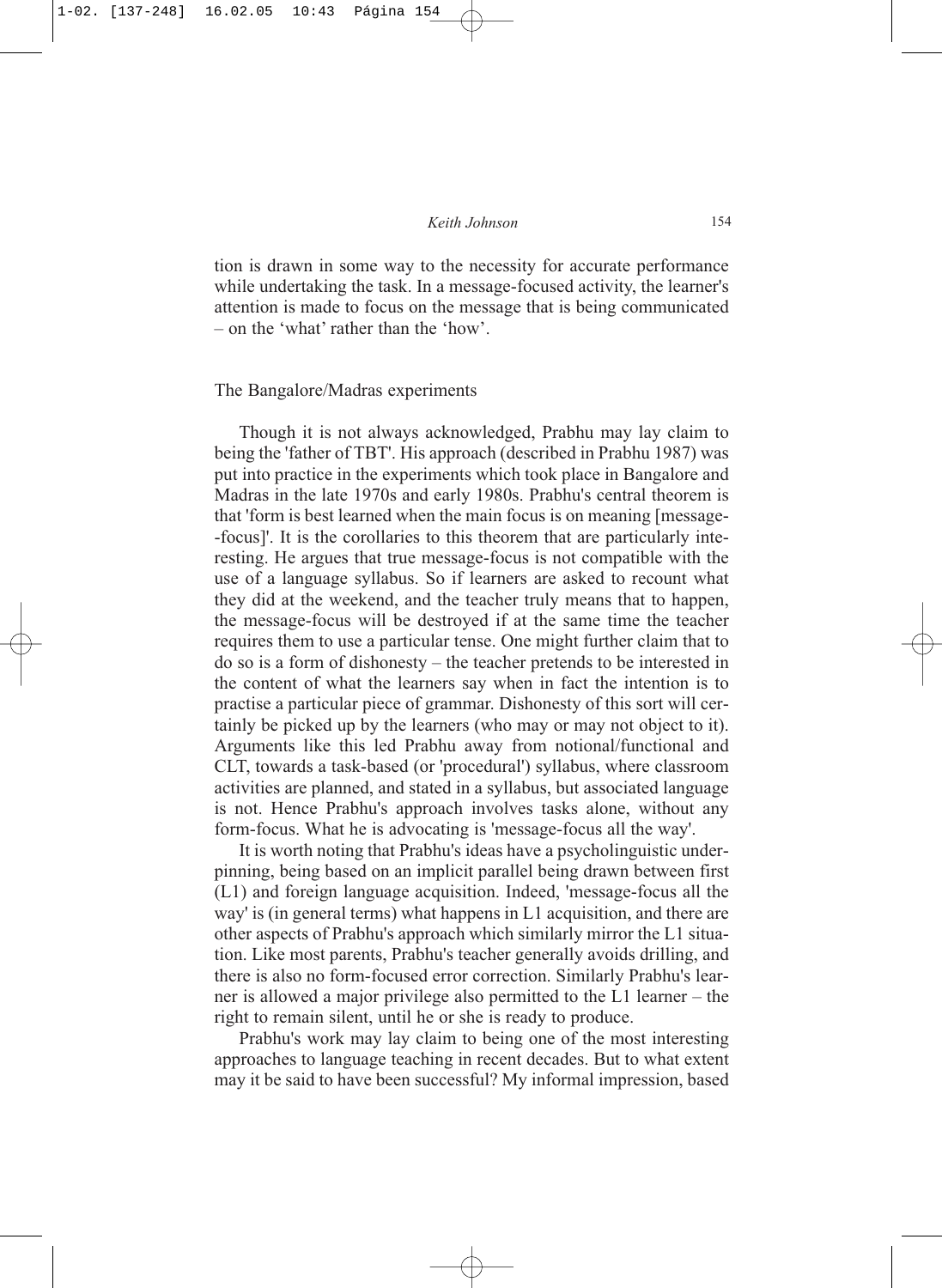### *Keith Johnson* 154

tion is drawn in some way to the necessity for accurate performance while undertaking the task. In a message-focused activity, the learner's attention is made to focus on the message that is being communicated – on the 'what' rather than the 'how'.

### The Bangalore/Madras experiments

Though it is not always acknowledged, Prabhu may lay claim to being the 'father of TBT'. His approach (described in Prabhu 1987) was put into practice in the experiments which took place in Bangalore and Madras in the late 1970s and early 1980s. Prabhu's central theorem is that 'form is best learned when the main focus is on meaning [message- -focus]'. It is the corollaries to this theorem that are particularly interesting. He argues that true message-focus is not compatible with the use of a language syllabus. So if learners are asked to recount what they did at the weekend, and the teacher truly means that to happen, the message-focus will be destroyed if at the same time the teacher requires them to use a particular tense. One might further claim that to do so is a form of dishonesty – the teacher pretends to be interested in the content of what the learners say when in fact the intention is to practise a particular piece of grammar. Dishonesty of this sort will certainly be picked up by the learners (who may or may not object to it). Arguments like this led Prabhu away from notional/functional and CLT, towards a task-based (or 'procedural') syllabus, where classroom activities are planned, and stated in a syllabus, but associated language is not. Hence Prabhu's approach involves tasks alone, without any form-focus. What he is advocating is 'message-focus all the way'.

It is worth noting that Prabhu's ideas have a psycholinguistic underpinning, being based on an implicit parallel being drawn between first (L1) and foreign language acquisition. Indeed, 'message-focus all the way' is (in general terms) what happens in L1 acquisition, and there are other aspects of Prabhu's approach which similarly mirror the L1 situation. Like most parents, Prabhu's teacher generally avoids drilling, and there is also no form-focused error correction. Similarly Prabhu's learner is allowed a major privilege also permitted to the L1 learner – the right to remain silent, until he or she is ready to produce.

Prabhu's work may lay claim to being one of the most interesting approaches to language teaching in recent decades. But to what extent may it be said to have been successful? My informal impression, based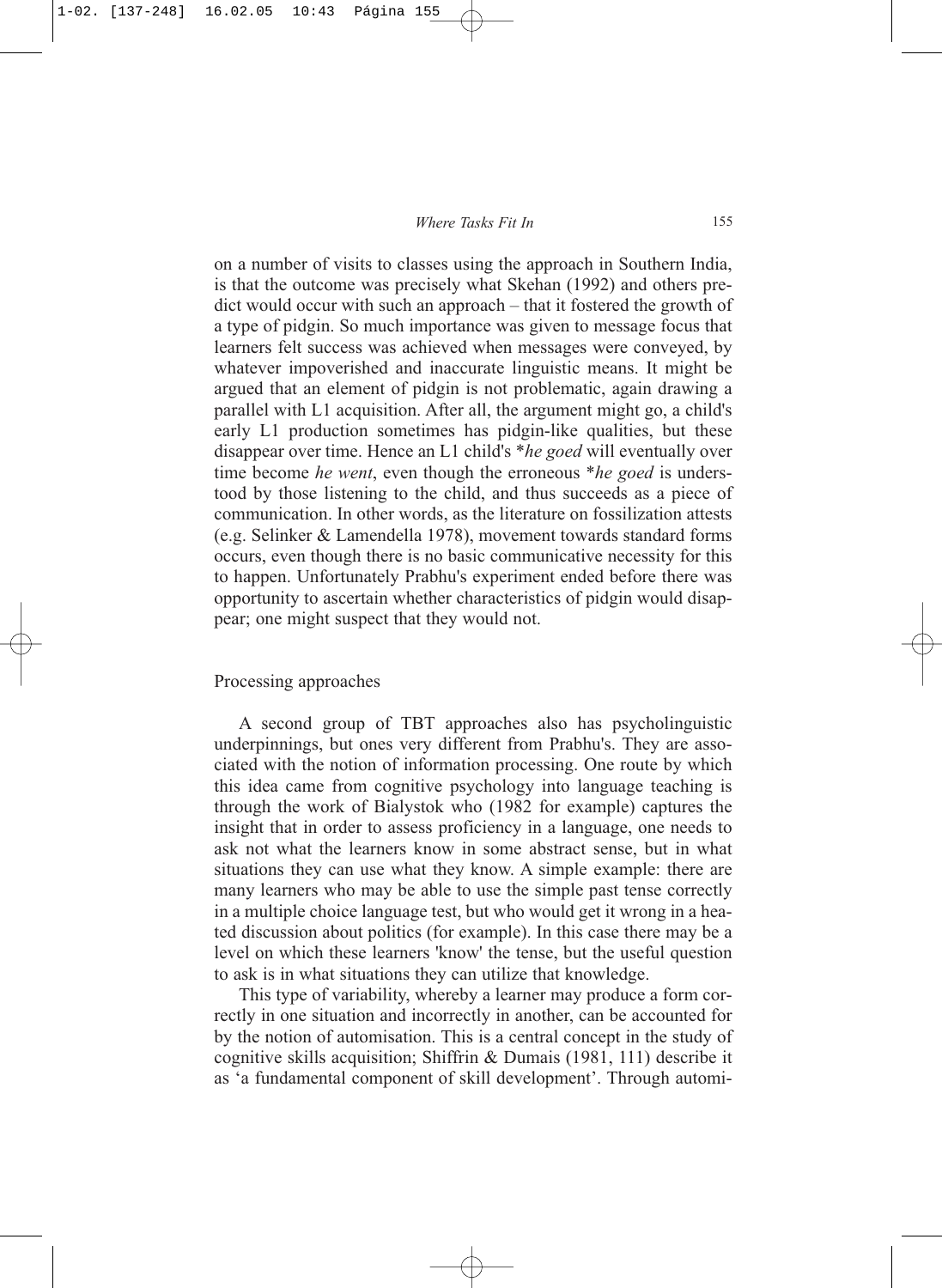on a number of visits to classes using the approach in Southern India, is that the outcome was precisely what Skehan (1992) and others predict would occur with such an approach – that it fostered the growth of a type of pidgin. So much importance was given to message focus that learners felt success was achieved when messages were conveyed, by whatever impoverished and inaccurate linguistic means. It might be argued that an element of pidgin is not problematic, again drawing a parallel with L1 acquisition. After all, the argument might go, a child's early L1 production sometimes has pidgin-like qualities, but these disappear over time. Hence an L1 child's \**he goed* will eventually over time become *he went*, even though the erroneous \**he goed* is understood by those listening to the child, and thus succeeds as a piece of communication. In other words, as the literature on fossilization attests (e.g. Selinker & Lamendella 1978), movement towards standard forms occurs, even though there is no basic communicative necessity for this to happen. Unfortunately Prabhu's experiment ended before there was opportunity to ascertain whether characteristics of pidgin would disappear; one might suspect that they would not.

## Processing approaches

A second group of TBT approaches also has psycholinguistic underpinnings, but ones very different from Prabhu's. They are associated with the notion of information processing. One route by which this idea came from cognitive psychology into language teaching is through the work of Bialystok who (1982 for example) captures the insight that in order to assess proficiency in a language, one needs to ask not what the learners know in some abstract sense, but in what situations they can use what they know. A simple example: there are many learners who may be able to use the simple past tense correctly in a multiple choice language test, but who would get it wrong in a heated discussion about politics (for example). In this case there may be a level on which these learners 'know' the tense, but the useful question to ask is in what situations they can utilize that knowledge.

This type of variability, whereby a learner may produce a form correctly in one situation and incorrectly in another, can be accounted for by the notion of automisation. This is a central concept in the study of cognitive skills acquisition; Shiffrin & Dumais (1981, 111) describe it as 'a fundamental component of skill development'. Through automi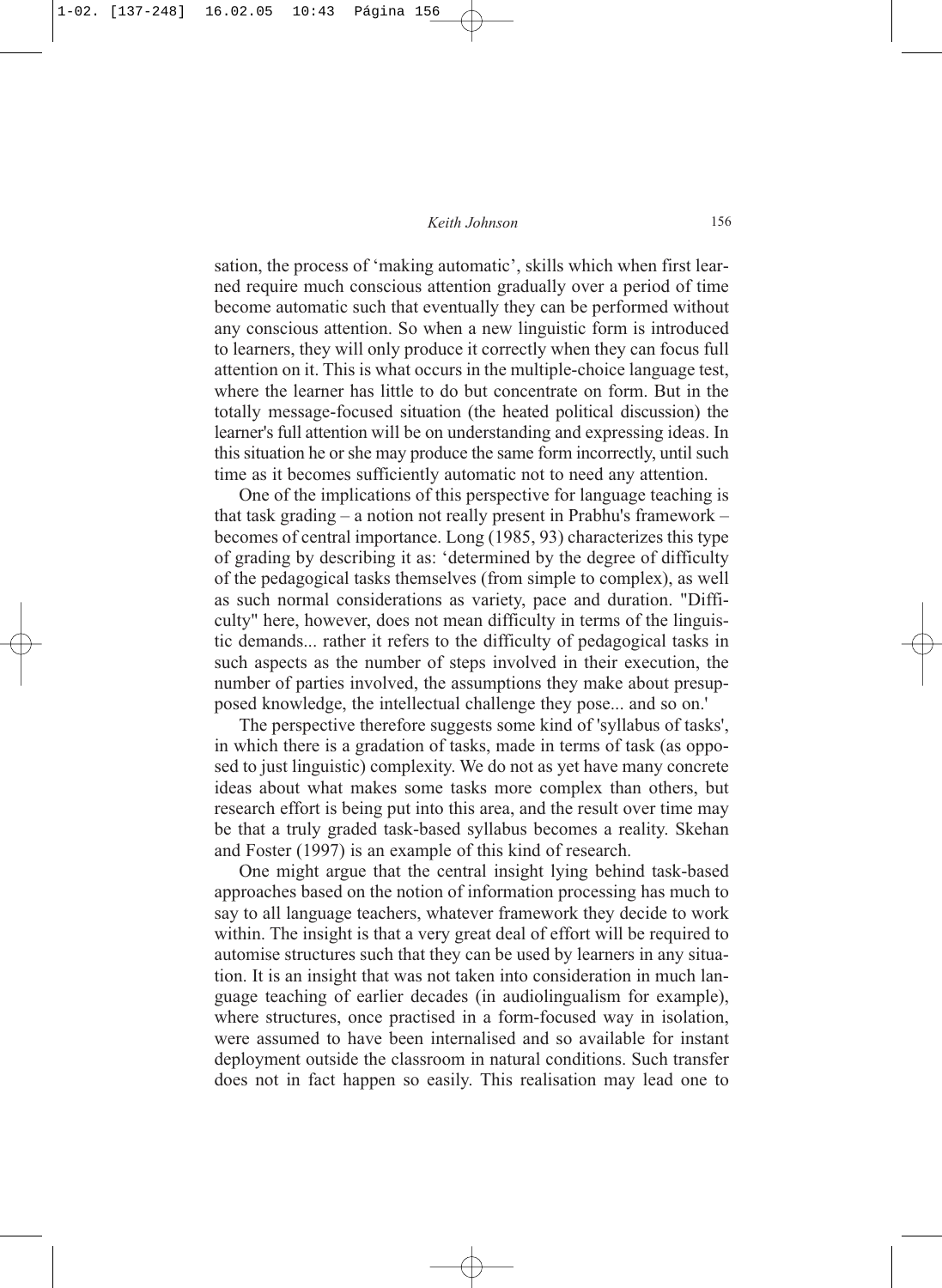sation, the process of 'making automatic', skills which when first learned require much conscious attention gradually over a period of time become automatic such that eventually they can be performed without any conscious attention. So when a new linguistic form is introduced to learners, they will only produce it correctly when they can focus full attention on it. This is what occurs in the multiple-choice language test, where the learner has little to do but concentrate on form. But in the totally message-focused situation (the heated political discussion) the learner's full attention will be on understanding and expressing ideas. In this situation he or she may produce the same form incorrectly, until such time as it becomes sufficiently automatic not to need any attention.

One of the implications of this perspective for language teaching is that task grading – a notion not really present in Prabhu's framework – becomes of central importance. Long (1985, 93) characterizes this type of grading by describing it as: 'determined by the degree of difficulty of the pedagogical tasks themselves (from simple to complex), as well as such normal considerations as variety, pace and duration. "Difficulty" here, however, does not mean difficulty in terms of the linguistic demands... rather it refers to the difficulty of pedagogical tasks in such aspects as the number of steps involved in their execution, the number of parties involved, the assumptions they make about presupposed knowledge, the intellectual challenge they pose... and so on.'

The perspective therefore suggests some kind of 'syllabus of tasks', in which there is a gradation of tasks, made in terms of task (as opposed to just linguistic) complexity. We do not as yet have many concrete ideas about what makes some tasks more complex than others, but research effort is being put into this area, and the result over time may be that a truly graded task-based syllabus becomes a reality. Skehan and Foster (1997) is an example of this kind of research.

One might argue that the central insight lying behind task-based approaches based on the notion of information processing has much to say to all language teachers, whatever framework they decide to work within. The insight is that a very great deal of effort will be required to automise structures such that they can be used by learners in any situation. It is an insight that was not taken into consideration in much language teaching of earlier decades (in audiolingualism for example), where structures, once practised in a form-focused way in isolation. were assumed to have been internalised and so available for instant deployment outside the classroom in natural conditions. Such transfer does not in fact happen so easily. This realisation may lead one to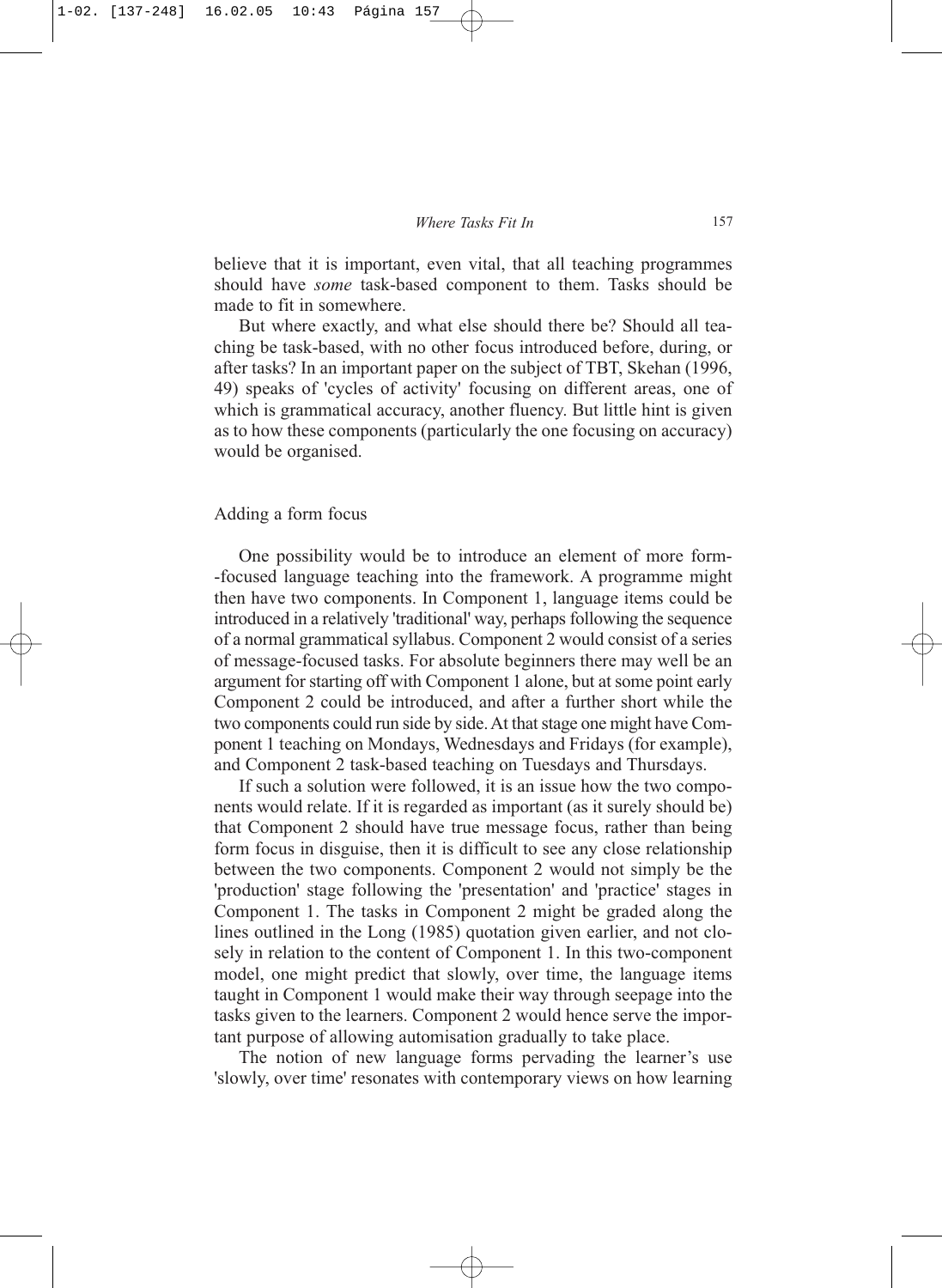believe that it is important, even vital, that all teaching programmes should have *some* task-based component to them. Tasks should be made to fit in somewhere.

But where exactly, and what else should there be? Should all teaching be task-based, with no other focus introduced before, during, or after tasks? In an important paper on the subject of TBT, Skehan (1996, 49) speaks of 'cycles of activity' focusing on different areas, one of which is grammatical accuracy, another fluency. But little hint is given as to how these components (particularly the one focusing on accuracy) would be organised.

### Adding a form focus

One possibility would be to introduce an element of more form- -focused language teaching into the framework. A programme might then have two components. In Component 1, language items could be introduced in a relatively 'traditional' way, perhaps following the sequence of a normal grammatical syllabus. Component 2 would consist of a series of message-focused tasks. For absolute beginners there may well be an argument for starting off with Component 1 alone, but at some point early Component 2 could be introduced, and after a further short while the two components could run side by side. At that stage one might have Component 1 teaching on Mondays, Wednesdays and Fridays (for example), and Component 2 task-based teaching on Tuesdays and Thursdays.

If such a solution were followed, it is an issue how the two components would relate. If it is regarded as important (as it surely should be) that Component 2 should have true message focus, rather than being form focus in disguise, then it is difficult to see any close relationship between the two components. Component 2 would not simply be the 'production' stage following the 'presentation' and 'practice' stages in Component 1. The tasks in Component 2 might be graded along the lines outlined in the Long (1985) quotation given earlier, and not closely in relation to the content of Component 1. In this two-component model, one might predict that slowly, over time, the language items taught in Component 1 would make their way through seepage into the tasks given to the learners. Component 2 would hence serve the important purpose of allowing automisation gradually to take place.

The notion of new language forms pervading the learner's use 'slowly, over time' resonates with contemporary views on how learning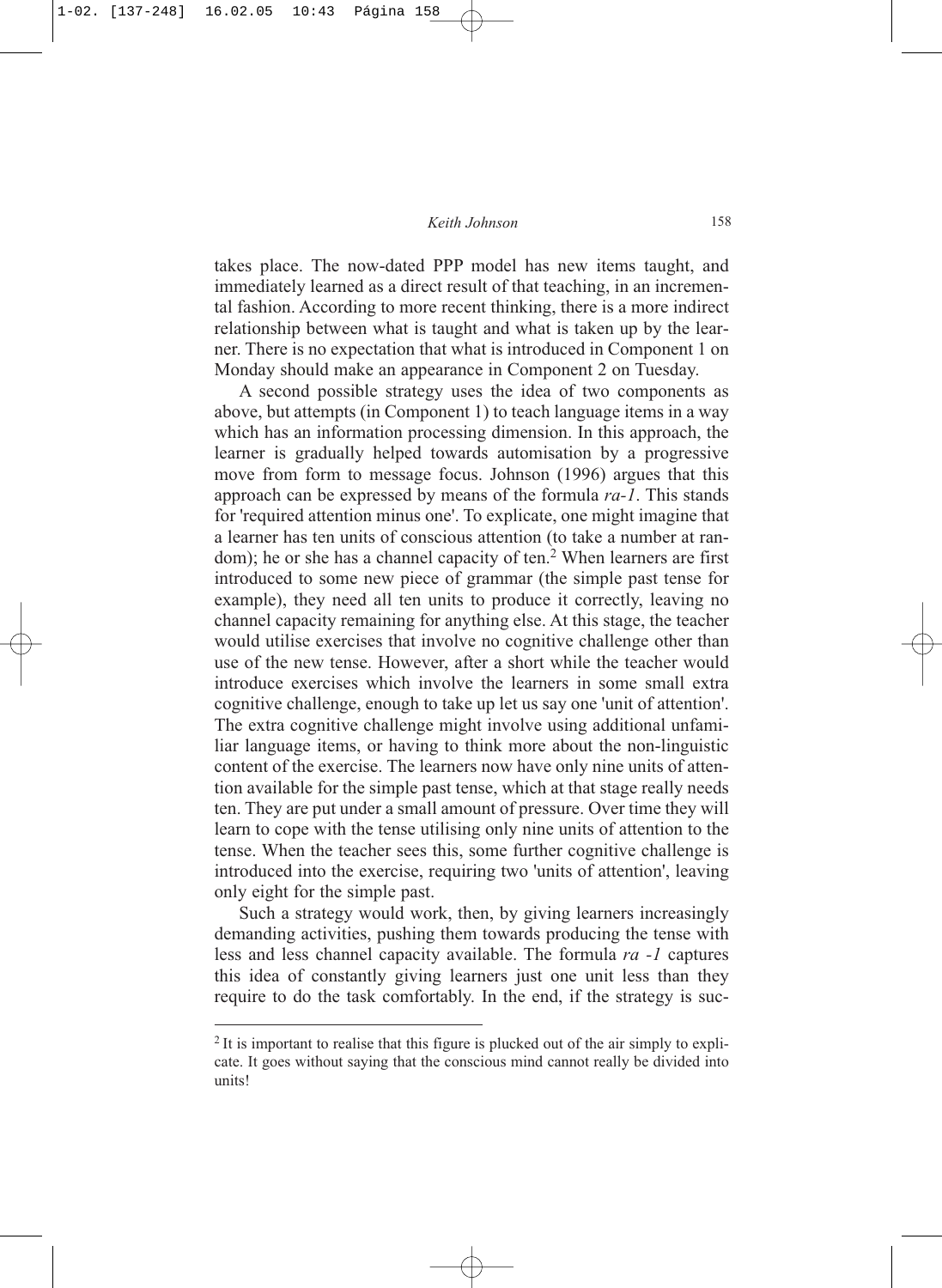takes place. The now-dated PPP model has new items taught, and immediately learned as a direct result of that teaching, in an incremental fashion. According to more recent thinking, there is a more indirect relationship between what is taught and what is taken up by the learner. There is no expectation that what is introduced in Component 1 on Monday should make an appearance in Component 2 on Tuesday.

A second possible strategy uses the idea of two components as above, but attempts (in Component 1) to teach language items in a way which has an information processing dimension. In this approach, the learner is gradually helped towards automisation by a progressive move from form to message focus. Johnson (1996) argues that this approach can be expressed by means of the formula *ra-1*. This stands for 'required attention minus one'. To explicate, one might imagine that a learner has ten units of conscious attention (to take a number at random); he or she has a channel capacity of ten.<sup>2</sup> When learners are first introduced to some new piece of grammar (the simple past tense for example), they need all ten units to produce it correctly, leaving no channel capacity remaining for anything else. At this stage, the teacher would utilise exercises that involve no cognitive challenge other than use of the new tense. However, after a short while the teacher would introduce exercises which involve the learners in some small extra cognitive challenge, enough to take up let us say one 'unit of attention'. The extra cognitive challenge might involve using additional unfamiliar language items, or having to think more about the non-linguistic content of the exercise. The learners now have only nine units of attention available for the simple past tense, which at that stage really needs ten. They are put under a small amount of pressure. Over time they will learn to cope with the tense utilising only nine units of attention to the tense. When the teacher sees this, some further cognitive challenge is introduced into the exercise, requiring two 'units of attention', leaving only eight for the simple past.

Such a strategy would work, then, by giving learners increasingly demanding activities, pushing them towards producing the tense with less and less channel capacity available. The formula *ra -1* captures this idea of constantly giving learners just one unit less than they require to do the task comfortably. In the end, if the strategy is suc-

<sup>&</sup>lt;sup>2</sup> It is important to realise that this figure is plucked out of the air simply to explicate. It goes without saying that the conscious mind cannot really be divided into units!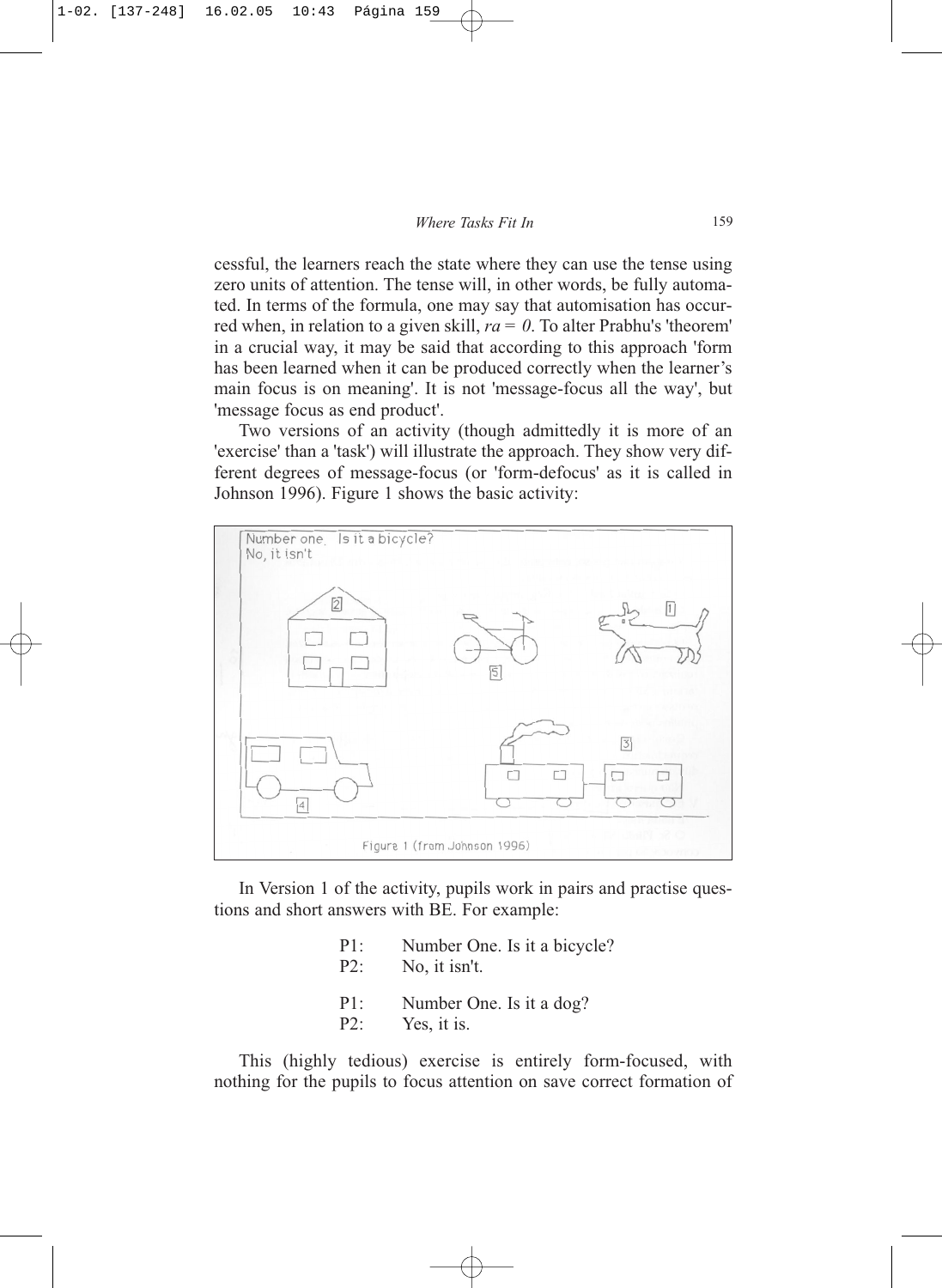cessful, the learners reach the state where they can use the tense using zero units of attention. The tense will, in other words, be fully automated. In terms of the formula, one may say that automisation has occurred when, in relation to a given skill, *ra = 0*. To alter Prabhu's 'theorem' in a crucial way, it may be said that according to this approach 'form has been learned when it can be produced correctly when the learner's main focus is on meaning'. It is not 'message-focus all the way', but 'message focus as end product'.

Two versions of an activity (though admittedly it is more of an 'exercise' than a 'task') will illustrate the approach. They show very different degrees of message-focus (or 'form-defocus' as it is called in Johnson 1996). Figure 1 shows the basic activity:



In Version 1 of the activity, pupils work in pairs and practise questions and short answers with BE. For example:

- P1: Number One. Is it a bicycle?
- P2: No, it isn't.
- P1: Number One. Is it a dog?
- P2: Yes, it is.

This (highly tedious) exercise is entirely form-focused, with nothing for the pupils to focus attention on save correct formation of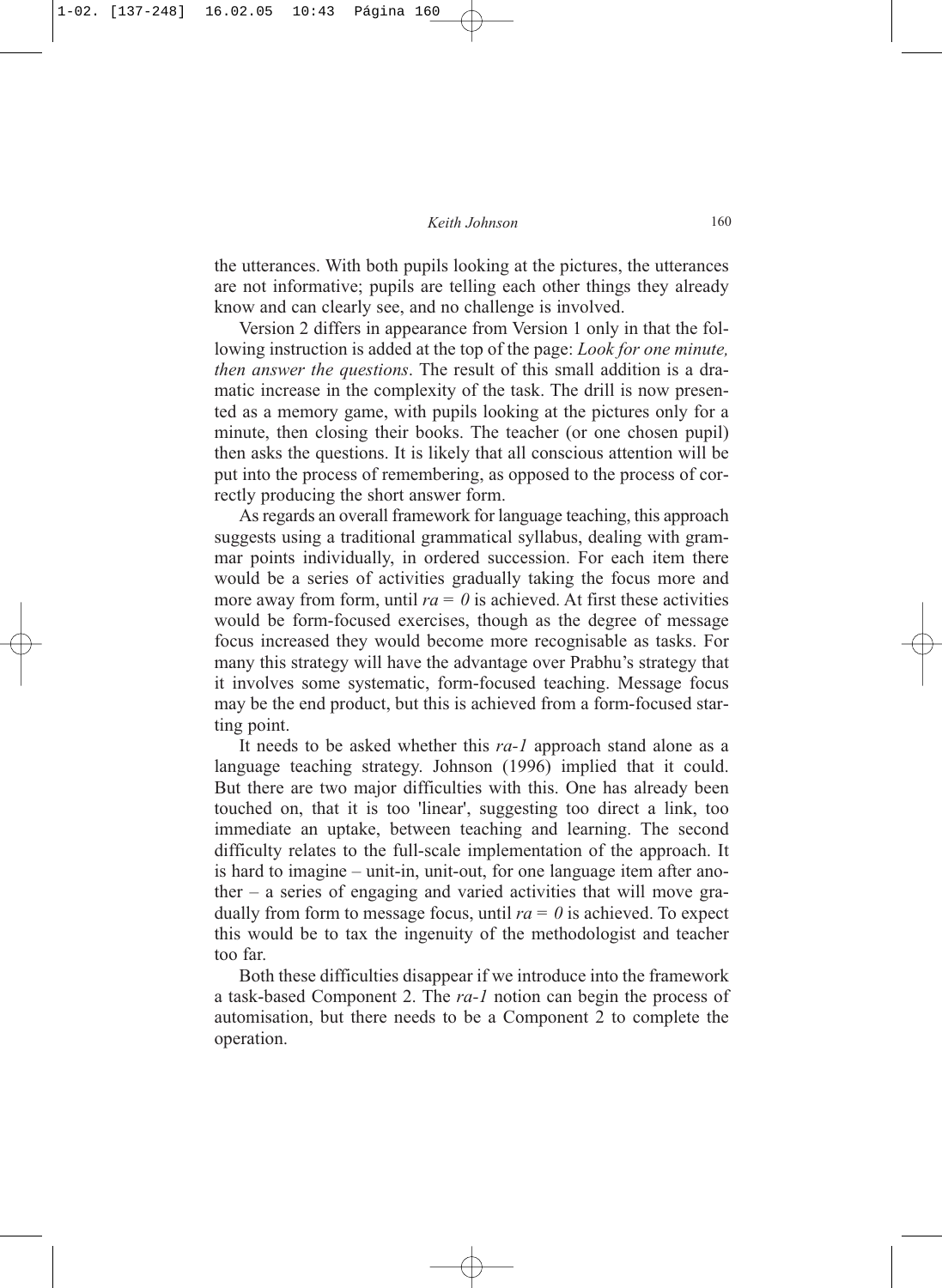### *Keith Johnson* 160

the utterances. With both pupils looking at the pictures, the utterances are not informative; pupils are telling each other things they already know and can clearly see, and no challenge is involved.

Version 2 differs in appearance from Version 1 only in that the following instruction is added at the top of the page: *Look for one minute, then answer the questions*. The result of this small addition is a dramatic increase in the complexity of the task. The drill is now presented as a memory game, with pupils looking at the pictures only for a minute, then closing their books. The teacher (or one chosen pupil) then asks the questions. It is likely that all conscious attention will be put into the process of remembering, as opposed to the process of correctly producing the short answer form.

As regards an overall framework for language teaching, this approach suggests using a traditional grammatical syllabus, dealing with grammar points individually, in ordered succession. For each item there would be a series of activities gradually taking the focus more and more away from form, until  $ra = 0$  is achieved. At first these activities would be form-focused exercises, though as the degree of message focus increased they would become more recognisable as tasks. For many this strategy will have the advantage over Prabhu's strategy that it involves some systematic, form-focused teaching. Message focus may be the end product, but this is achieved from a form-focused starting point.

It needs to be asked whether this *ra-1* approach stand alone as a language teaching strategy. Johnson (1996) implied that it could. But there are two major difficulties with this. One has already been touched on, that it is too 'linear', suggesting too direct a link, too immediate an uptake, between teaching and learning. The second difficulty relates to the full-scale implementation of the approach. It is hard to imagine – unit-in, unit-out, for one language item after another – a series of engaging and varied activities that will move gradually from form to message focus, until  $ra = 0$  is achieved. To expect this would be to tax the ingenuity of the methodologist and teacher too far.

Both these difficulties disappear if we introduce into the framework a task-based Component 2. The *ra-1* notion can begin the process of automisation, but there needs to be a Component 2 to complete the operation.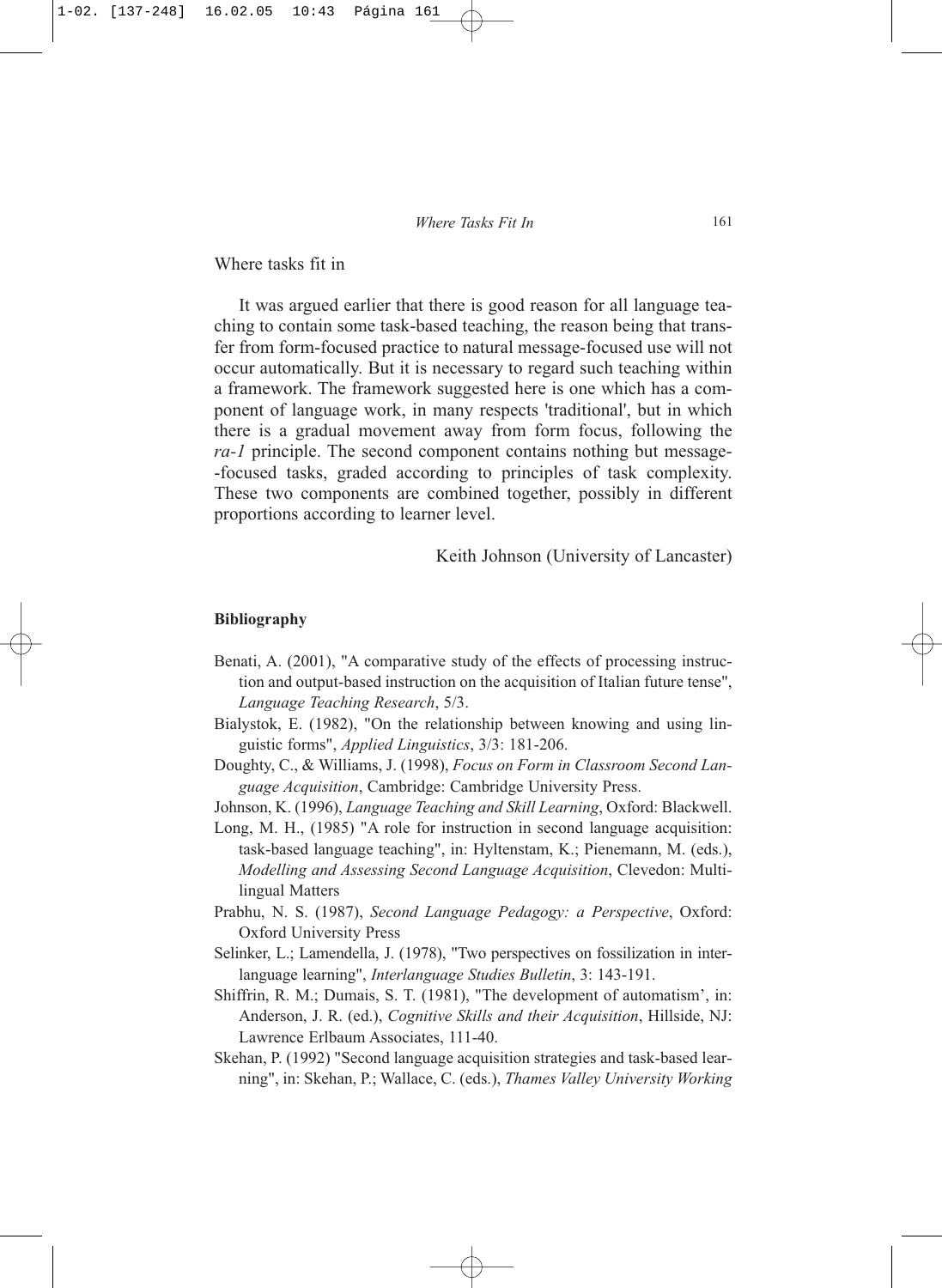Where tasks fit in

It was argued earlier that there is good reason for all language teaching to contain some task-based teaching, the reason being that transfer from form-focused practice to natural message-focused use will not occur automatically. But it is necessary to regard such teaching within a framework. The framework suggested here is one which has a component of language work, in many respects 'traditional', but in which there is a gradual movement away from form focus, following the *ra-1* principle. The second component contains nothing but message- -focused tasks, graded according to principles of task complexity. These two components are combined together, possibly in different proportions according to learner level.

Keith Johnson (University of Lancaster)

### **Bibliography**

- Benati, A. (2001), "A comparative study of the effects of processing instruction and output-based instruction on the acquisition of Italian future tense", *Language Teaching Research*, 5/3.
- Bialystok, E. (1982), "On the relationship between knowing and using linguistic forms", *Applied Linguistics*, 3/3: 181-206.
- Doughty, C., & Williams, J. (1998), *Focus on Form in Classroom Second Language Acquisition*, Cambridge: Cambridge University Press.
- Johnson, K. (1996), *Language Teaching and Skill Learning*, Oxford: Blackwell.

Long, M. H., (1985) "A role for instruction in second language acquisition: task-based language teaching", in: Hyltenstam, K.; Pienemann, M. (eds.), *Modelling and Assessing Second Language Acquisition*, Clevedon: Multilingual Matters

- Prabhu, N. S. (1987), *Second Language Pedagogy: a Perspective*, Oxford: Oxford University Press
- Selinker, L.; Lamendella, J. (1978), "Two perspectives on fossilization in interlanguage learning", *Interlanguage Studies Bulletin*, 3: 143-191.
- Shiffrin, R. M.; Dumais, S. T. (1981), "The development of automatism', in: Anderson, J. R. (ed.), *Cognitive Skills and their Acquisition*, Hillside, NJ: Lawrence Erlbaum Associates, 111-40.
- Skehan, P. (1992) "Second language acquisition strategies and task-based learning", in: Skehan, P.; Wallace, C. (eds.), *Thames Valley University Working*